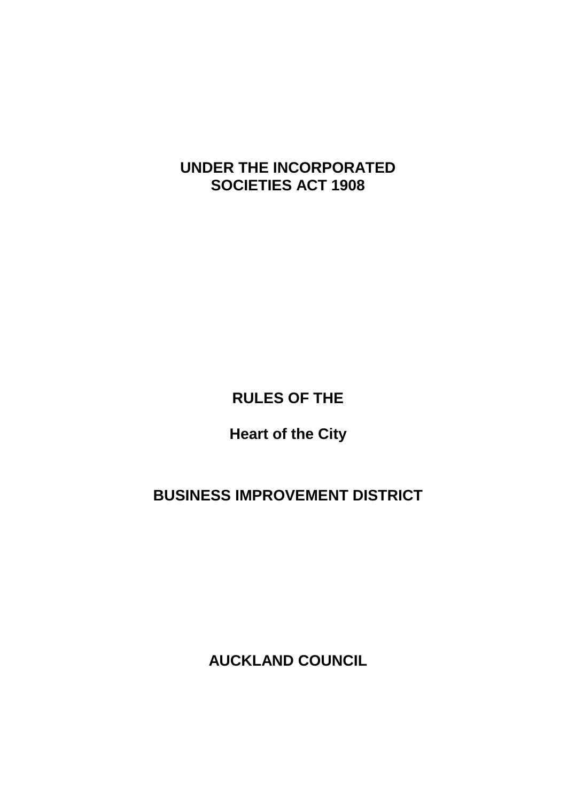**UNDER THE INCORPORATED SOCIETIES ACT 1908**

# **RULES OF THE**

**Heart of the City**

# **BUSINESS IMPROVEMENT DISTRICT**

**AUCKLAND COUNCIL**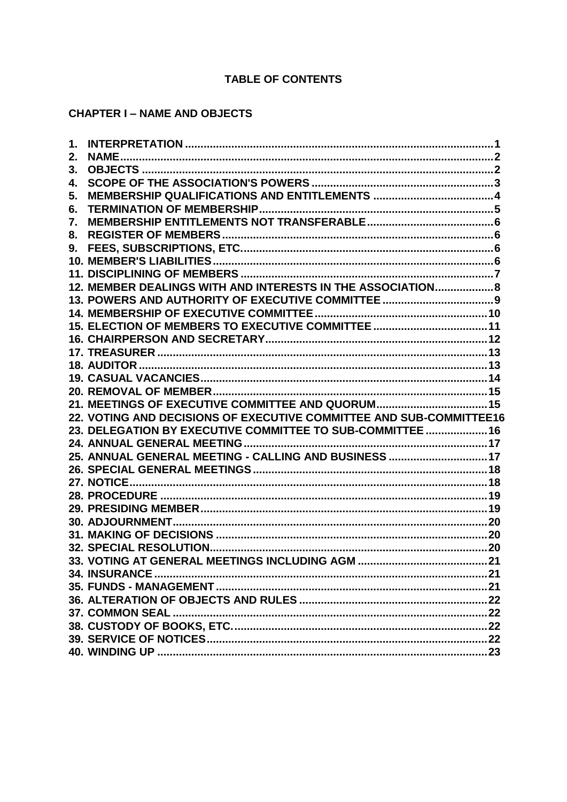## **TABLE OF CONTENTS**

# **CHAPTER I - NAME AND OBJECTS**

| 1. |                                                                     |  |
|----|---------------------------------------------------------------------|--|
| 2. |                                                                     |  |
| 3. |                                                                     |  |
| 4. |                                                                     |  |
| 5. |                                                                     |  |
| 6. |                                                                     |  |
| 7. |                                                                     |  |
| 8. |                                                                     |  |
| 9. |                                                                     |  |
|    |                                                                     |  |
|    |                                                                     |  |
|    | 12. MEMBER DEALINGS WITH AND INTERESTS IN THE ASSOCIATION 8         |  |
|    |                                                                     |  |
|    |                                                                     |  |
|    |                                                                     |  |
|    |                                                                     |  |
|    |                                                                     |  |
|    |                                                                     |  |
|    |                                                                     |  |
|    |                                                                     |  |
|    |                                                                     |  |
|    | 22. VOTING AND DECISIONS OF EXECUTIVE COMMITTEE AND SUB-COMMITTEE16 |  |
|    | 23. DELEGATION BY EXECUTIVE COMMITTEE TO SUB-COMMITTEE  16          |  |
|    |                                                                     |  |
|    | 25. ANNUAL GENERAL MEETING - CALLING AND BUSINESS  17               |  |
|    |                                                                     |  |
|    |                                                                     |  |
|    |                                                                     |  |
|    |                                                                     |  |
|    |                                                                     |  |
|    |                                                                     |  |
|    |                                                                     |  |
|    |                                                                     |  |
|    |                                                                     |  |
|    |                                                                     |  |
|    |                                                                     |  |
|    |                                                                     |  |
|    |                                                                     |  |
|    |                                                                     |  |
|    |                                                                     |  |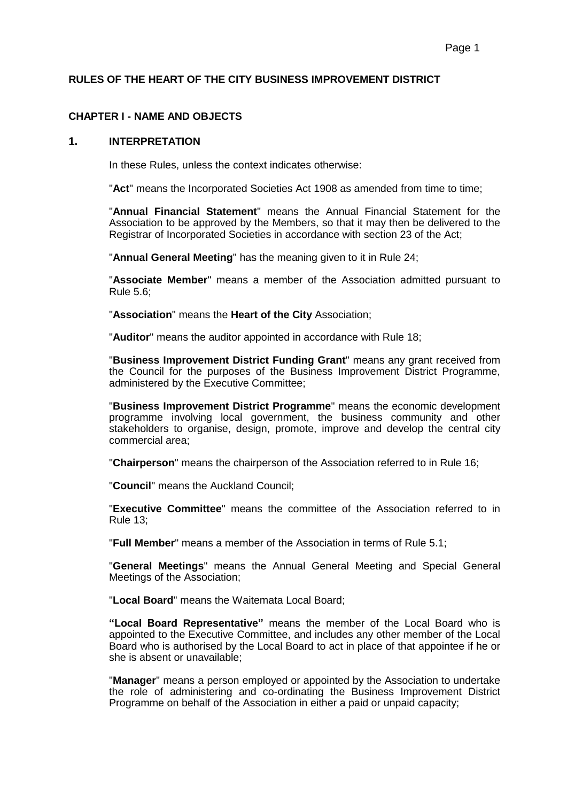## **RULES OF THE HEART OF THE CITY BUSINESS IMPROVEMENT DISTRICT**

### **CHAPTER I - NAME AND OBJECTS**

#### <span id="page-3-0"></span>**1. INTERPRETATION**

In these Rules, unless the context indicates otherwise:

"**Act**" means the Incorporated Societies Act 1908 as amended from time to time;

"**Annual Financial Statement**" means the Annual Financial Statement for the Association to be approved by the Members, so that it may then be delivered to the Registrar of Incorporated Societies in accordance with section 23 of the Act;

"**Annual General Meeting**" has the meaning given to it in Rule 24;

"**Associate Member**" means a member of the Association admitted pursuant to Rule 5.6;

"**Association**" means the **Heart of the City** Association;

"**Auditor**" means the auditor appointed in accordance with Rule 18;

"**Business Improvement District Funding Grant**" means any grant received from the Council for the purposes of the Business Improvement District Programme, administered by the Executive Committee;

"**Business Improvement District Programme**" means the economic development programme involving local government, the business community and other stakeholders to organise, design, promote, improve and develop the central city commercial area;

"**Chairperson**" means the chairperson of the Association referred to in Rule 16;

"**Council**" means the Auckland Council;

"**Executive Committee**" means the committee of the Association referred to in Rule 13;

"**Full Member**" means a member of the Association in terms of Rule 5.1;

"**General Meetings**" means the Annual General Meeting and Special General Meetings of the Association;

"**Local Board**" means the Waitemata Local Board;

**"Local Board Representative"** means the member of the Local Board who is appointed to the Executive Committee, and includes any other member of the Local Board who is authorised by the Local Board to act in place of that appointee if he or she is absent or unavailable;

"**Manager**" means a person employed or appointed by the Association to undertake the role of administering and co-ordinating the Business Improvement District Programme on behalf of the Association in either a paid or unpaid capacity;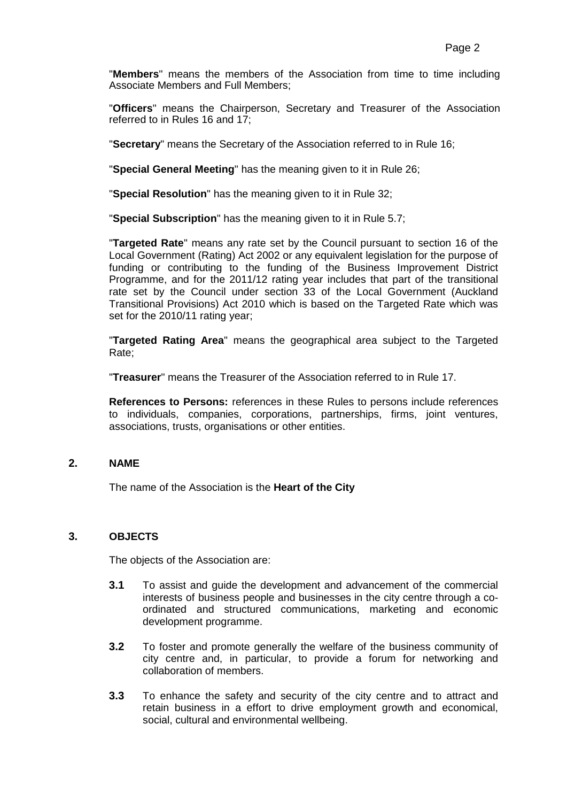"**Members**" means the members of the Association from time to time including Associate Members and Full Members;

"**Officers**" means the Chairperson, Secretary and Treasurer of the Association referred to in Rules 16 and 17;

"**Secretary**" means the Secretary of the Association referred to in Rule 16;

"**Special General Meeting**" has the meaning given to it in Rule 26;

"**Special Resolution**" has the meaning given to it in Rule 32;

"**Special Subscription**" has the meaning given to it in Rule 5.7;

"**Targeted Rate**" means any rate set by the Council pursuant to section 16 of the Local Government (Rating) Act 2002 or any equivalent legislation for the purpose of funding or contributing to the funding of the Business Improvement District Programme, and for the 2011/12 rating year includes that part of the transitional rate set by the Council under section 33 of the Local Government (Auckland Transitional Provisions) Act 2010 which is based on the Targeted Rate which was set for the 2010/11 rating year;

"**Targeted Rating Area**" means the geographical area subject to the Targeted Rate;

"**Treasurer**" means the Treasurer of the Association referred to in Rule 17.

**References to Persons:** references in these Rules to persons include references to individuals, companies, corporations, partnerships, firms, joint ventures, associations, trusts, organisations or other entities.

## <span id="page-4-0"></span>**2. NAME**

The name of the Association is the **Heart of the City**

## <span id="page-4-1"></span>**3. OBJECTS**

The objects of the Association are:

- **3.1** To assist and guide the development and advancement of the commercial interests of business people and businesses in the city centre through a coordinated and structured communications, marketing and economic development programme.
- **3.2** To foster and promote generally the welfare of the business community of city centre and, in particular, to provide a forum for networking and collaboration of members.
- **3.3** To enhance the safety and security of the city centre and to attract and retain business in a effort to drive employment growth and economical, social, cultural and environmental wellbeing.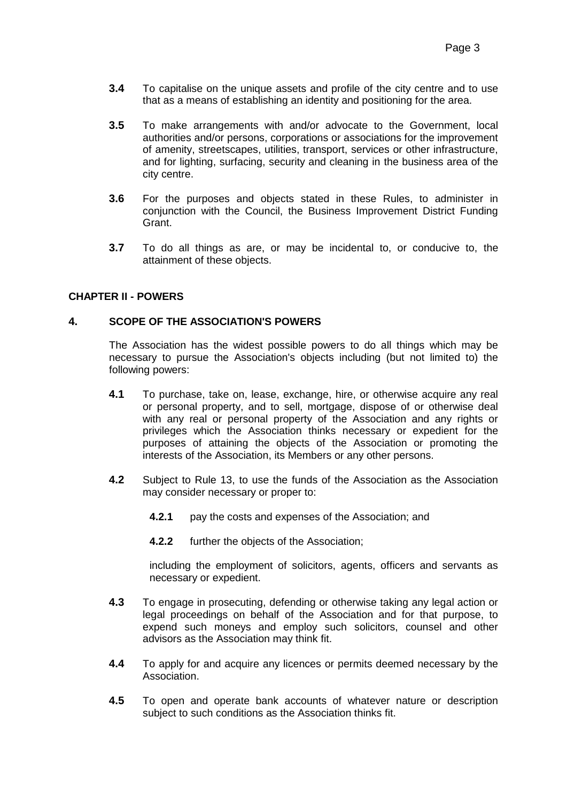- **3.4** To capitalise on the unique assets and profile of the city centre and to use that as a means of establishing an identity and positioning for the area.
- **3.5** To make arrangements with and/or advocate to the Government, local authorities and/or persons, corporations or associations for the improvement of amenity, streetscapes, utilities, transport, services or other infrastructure, and for lighting, surfacing, security and cleaning in the business area of the city centre.
- **3.6** For the purposes and objects stated in these Rules, to administer in conjunction with the Council, the Business Improvement District Funding Grant.
- **3.7** To do all things as are, or may be incidental to, or conducive to, the attainment of these objects.

## **CHAPTER II - POWERS**

## <span id="page-5-0"></span>**4. SCOPE OF THE ASSOCIATION'S POWERS**

The Association has the widest possible powers to do all things which may be necessary to pursue the Association's objects including (but not limited to) the following powers:

- **4.1** To purchase, take on, lease, exchange, hire, or otherwise acquire any real or personal property, and to sell, mortgage, dispose of or otherwise deal with any real or personal property of the Association and any rights or privileges which the Association thinks necessary or expedient for the purposes of attaining the objects of the Association or promoting the interests of the Association, its Members or any other persons.
- **4.2** Subject to Rule 13, to use the funds of the Association as the Association may consider necessary or proper to:
	- **4.2.1** pay the costs and expenses of the Association; and
	- **4.2.2** further the objects of the Association;

including the employment of solicitors, agents, officers and servants as necessary or expedient.

- **4.3** To engage in prosecuting, defending or otherwise taking any legal action or legal proceedings on behalf of the Association and for that purpose, to expend such moneys and employ such solicitors, counsel and other advisors as the Association may think fit.
- **4.4** To apply for and acquire any licences or permits deemed necessary by the Association.
- **4.5** To open and operate bank accounts of whatever nature or description subject to such conditions as the Association thinks fit.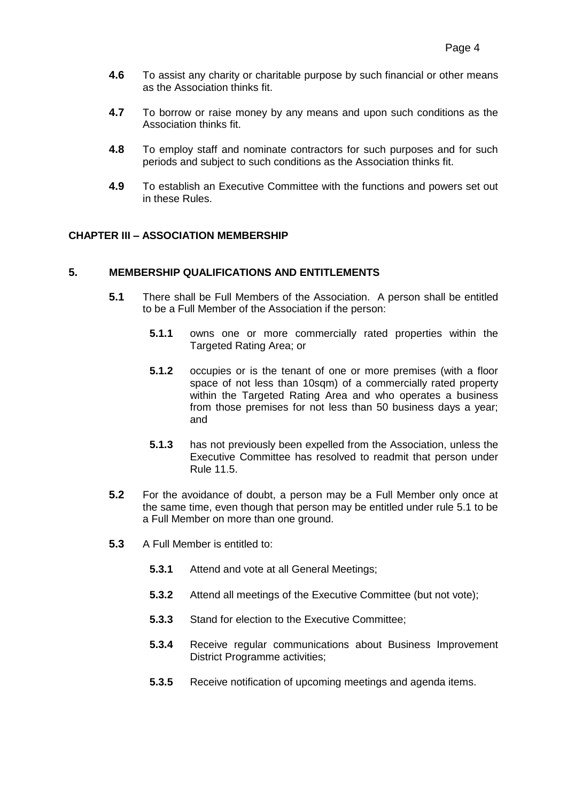- **4.6** To assist any charity or charitable purpose by such financial or other means as the Association thinks fit.
- **4.7** To borrow or raise money by any means and upon such conditions as the Association thinks fit.
- **4.8** To employ staff and nominate contractors for such purposes and for such periods and subject to such conditions as the Association thinks fit.
- **4.9** To establish an Executive Committee with the functions and powers set out in these Rules.

## **CHAPTER III – ASSOCIATION MEMBERSHIP**

## <span id="page-6-0"></span>**5. MEMBERSHIP QUALIFICATIONS AND ENTITLEMENTS**

- **5.1** There shall be Full Members of the Association. A person shall be entitled to be a Full Member of the Association if the person:
	- **5.1.1** owns one or more commercially rated properties within the Targeted Rating Area; or
	- **5.1.2** occupies or is the tenant of one or more premises (with a floor space of not less than 10sqm) of a commercially rated property within the Targeted Rating Area and who operates a business from those premises for not less than 50 business days a year; and
	- **5.1.3** has not previously been expelled from the Association, unless the Executive Committee has resolved to readmit that person under Rule 11.5.
- **5.2** For the avoidance of doubt, a person may be a Full Member only once at the same time, even though that person may be entitled under rule 5.1 to be a Full Member on more than one ground.
- **5.3** A Full Member is entitled to:
	- **5.3.1** Attend and vote at all General Meetings;
	- **5.3.2** Attend all meetings of the Executive Committee (but not vote);
	- **5.3.3** Stand for election to the Executive Committee;
	- **5.3.4** Receive regular communications about Business Improvement District Programme activities;
	- **5.3.5** Receive notification of upcoming meetings and agenda items.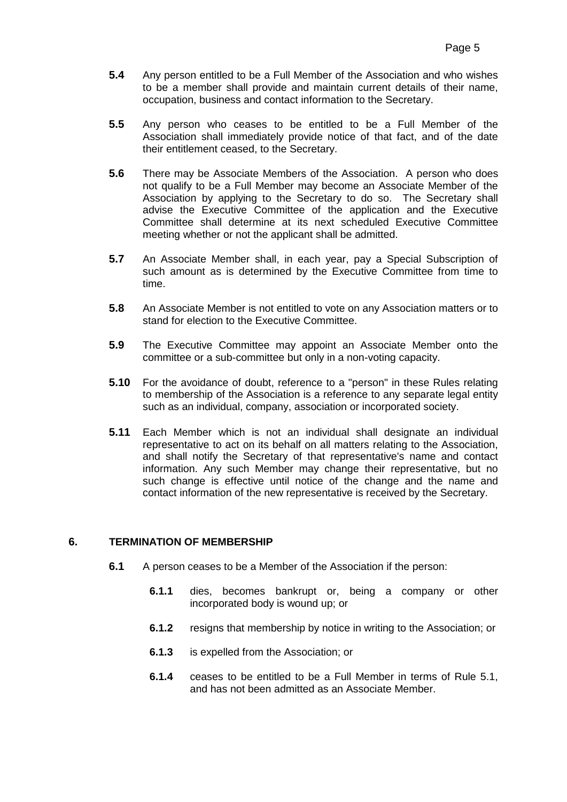- **5.4** Any person entitled to be a Full Member of the Association and who wishes to be a member shall provide and maintain current details of their name, occupation, business and contact information to the Secretary.
- **5.5** Any person who ceases to be entitled to be a Full Member of the Association shall immediately provide notice of that fact, and of the date their entitlement ceased, to the Secretary.
- **5.6** There may be Associate Members of the Association. A person who does not qualify to be a Full Member may become an Associate Member of the Association by applying to the Secretary to do so. The Secretary shall advise the Executive Committee of the application and the Executive Committee shall determine at its next scheduled Executive Committee meeting whether or not the applicant shall be admitted.
- **5.7** An Associate Member shall, in each year, pay a Special Subscription of such amount as is determined by the Executive Committee from time to time.
- **5.8** An Associate Member is not entitled to vote on any Association matters or to stand for election to the Executive Committee.
- **5.9** The Executive Committee may appoint an Associate Member onto the committee or a sub-committee but only in a non-voting capacity.
- **5.10** For the avoidance of doubt, reference to a "person" in these Rules relating to membership of the Association is a reference to any separate legal entity such as an individual, company, association or incorporated society.
- **5.11** Each Member which is not an individual shall designate an individual representative to act on its behalf on all matters relating to the Association, and shall notify the Secretary of that representative's name and contact information. Any such Member may change their representative, but no such change is effective until notice of the change and the name and contact information of the new representative is received by the Secretary.

## <span id="page-7-0"></span>**6. TERMINATION OF MEMBERSHIP**

- **6.1** A person ceases to be a Member of the Association if the person:
	- **6.1.1** dies, becomes bankrupt or, being a company or other incorporated body is wound up; or
	- **6.1.2** resigns that membership by notice in writing to the Association; or
	- **6.1.3** is expelled from the Association; or
	- **6.1.4** ceases to be entitled to be a Full Member in terms of Rule 5.1, and has not been admitted as an Associate Member.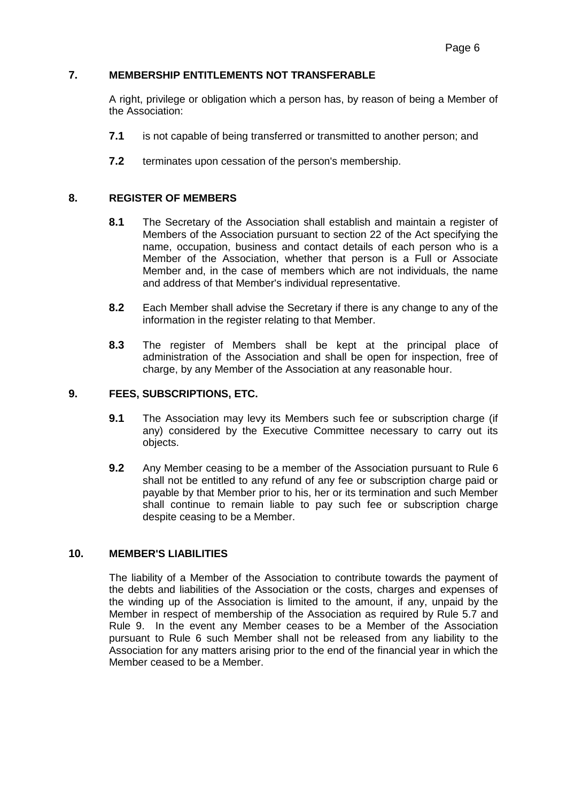## <span id="page-8-0"></span>**7. MEMBERSHIP ENTITLEMENTS NOT TRANSFERABLE**

A right, privilege or obligation which a person has, by reason of being a Member of the Association:

- **7.1** is not capable of being transferred or transmitted to another person; and
- **7.2** terminates upon cessation of the person's membership.

#### <span id="page-8-1"></span>**8. REGISTER OF MEMBERS**

- **8.1** The Secretary of the Association shall establish and maintain a register of Members of the Association pursuant to section 22 of the Act specifying the name, occupation, business and contact details of each person who is a Member of the Association, whether that person is a Full or Associate Member and, in the case of members which are not individuals, the name and address of that Member's individual representative.
- **8.2** Each Member shall advise the Secretary if there is any change to any of the information in the register relating to that Member.
- **8.3** The register of Members shall be kept at the principal place of administration of the Association and shall be open for inspection, free of charge, by any Member of the Association at any reasonable hour.

## <span id="page-8-2"></span>**9. FEES, SUBSCRIPTIONS, ETC.**

- **9.1** The Association may levy its Members such fee or subscription charge (if any) considered by the Executive Committee necessary to carry out its objects.
- **9.2** Any Member ceasing to be a member of the Association pursuant to Rule 6 shall not be entitled to any refund of any fee or subscription charge paid or payable by that Member prior to his, her or its termination and such Member shall continue to remain liable to pay such fee or subscription charge despite ceasing to be a Member.

#### <span id="page-8-3"></span>**10. MEMBER'S LIABILITIES**

The liability of a Member of the Association to contribute towards the payment of the debts and liabilities of the Association or the costs, charges and expenses of the winding up of the Association is limited to the amount, if any, unpaid by the Member in respect of membership of the Association as required by Rule 5.7 and Rule 9. In the event any Member ceases to be a Member of the Association pursuant to Rule 6 such Member shall not be released from any liability to the Association for any matters arising prior to the end of the financial year in which the Member ceased to be a Member.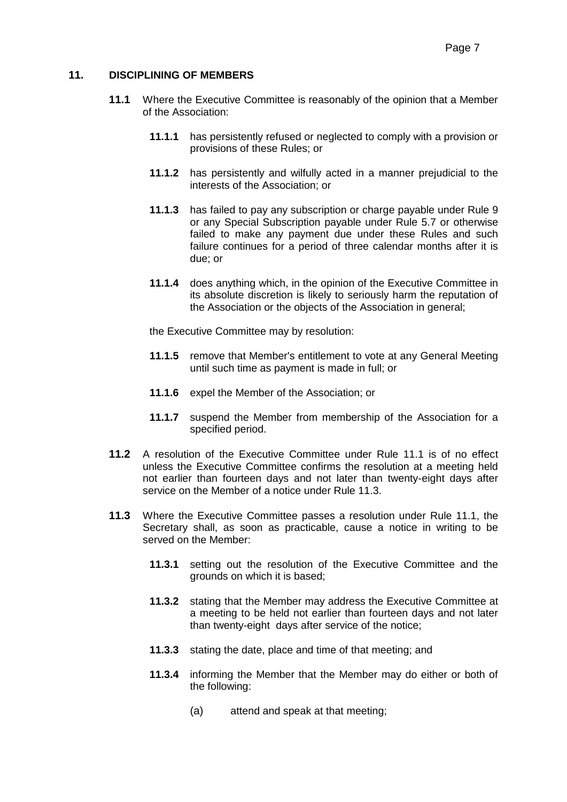## <span id="page-9-0"></span>**11. DISCIPLINING OF MEMBERS**

- **11.1** Where the Executive Committee is reasonably of the opinion that a Member of the Association:
	- **11.1.1** has persistently refused or neglected to comply with a provision or provisions of these Rules; or
	- **11.1.2** has persistently and wilfully acted in a manner prejudicial to the interests of the Association; or
	- **11.1.3** has failed to pay any subscription or charge payable under Rule 9 or any Special Subscription payable under Rule 5.7 or otherwise failed to make any payment due under these Rules and such failure continues for a period of three calendar months after it is due; or
	- **11.1.4** does anything which, in the opinion of the Executive Committee in its absolute discretion is likely to seriously harm the reputation of the Association or the objects of the Association in general;

the Executive Committee may by resolution:

- **11.1.5** remove that Member's entitlement to vote at any General Meeting until such time as payment is made in full; or
- **11.1.6** expel the Member of the Association; or
- **11.1.7** suspend the Member from membership of the Association for a specified period.
- **11.2** A resolution of the Executive Committee under Rule 11.1 is of no effect unless the Executive Committee confirms the resolution at a meeting held not earlier than fourteen days and not later than twenty-eight days after service on the Member of a notice under Rule 11.3.
- **11.3** Where the Executive Committee passes a resolution under Rule 11.1, the Secretary shall, as soon as practicable, cause a notice in writing to be served on the Member:
	- **11.3.1** setting out the resolution of the Executive Committee and the grounds on which it is based;
	- **11.3.2** stating that the Member may address the Executive Committee at a meeting to be held not earlier than fourteen days and not later than twenty-eight days after service of the notice;
	- **11.3.3** stating the date, place and time of that meeting; and
	- **11.3.4** informing the Member that the Member may do either or both of the following:
		- (a) attend and speak at that meeting;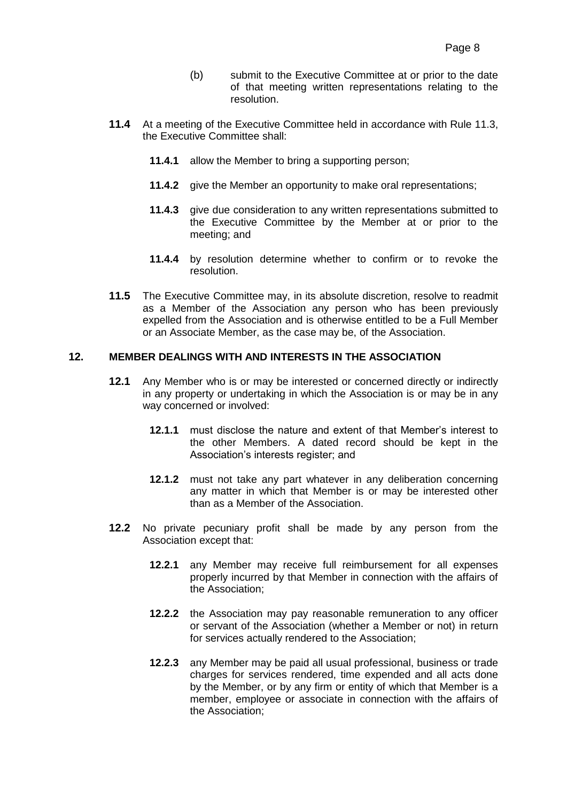- (b) submit to the Executive Committee at or prior to the date of that meeting written representations relating to the resolution.
- **11.4** At a meeting of the Executive Committee held in accordance with Rule 11.3, the Executive Committee shall:
	- **11.4.1** allow the Member to bring a supporting person;
	- **11.4.2** give the Member an opportunity to make oral representations;
	- **11.4.3** give due consideration to any written representations submitted to the Executive Committee by the Member at or prior to the meeting; and
	- **11.4.4** by resolution determine whether to confirm or to revoke the resolution.
- **11.5** The Executive Committee may, in its absolute discretion, resolve to readmit as a Member of the Association any person who has been previously expelled from the Association and is otherwise entitled to be a Full Member or an Associate Member, as the case may be, of the Association.

## <span id="page-10-0"></span>**12. MEMBER DEALINGS WITH AND INTERESTS IN THE ASSOCIATION**

- **12.1** Any Member who is or may be interested or concerned directly or indirectly in any property or undertaking in which the Association is or may be in any way concerned or involved:
	- **12.1.1** must disclose the nature and extent of that Member's interest to the other Members. A dated record should be kept in the Association's interests register; and
	- **12.1.2** must not take any part whatever in any deliberation concerning any matter in which that Member is or may be interested other than as a Member of the Association.
- **12.2** No private pecuniary profit shall be made by any person from the Association except that:
	- **12.2.1** any Member may receive full reimbursement for all expenses properly incurred by that Member in connection with the affairs of the Association;
	- **12.2.2** the Association may pay reasonable remuneration to any officer or servant of the Association (whether a Member or not) in return for services actually rendered to the Association;
	- **12.2.3** any Member may be paid all usual professional, business or trade charges for services rendered, time expended and all acts done by the Member, or by any firm or entity of which that Member is a member, employee or associate in connection with the affairs of the Association;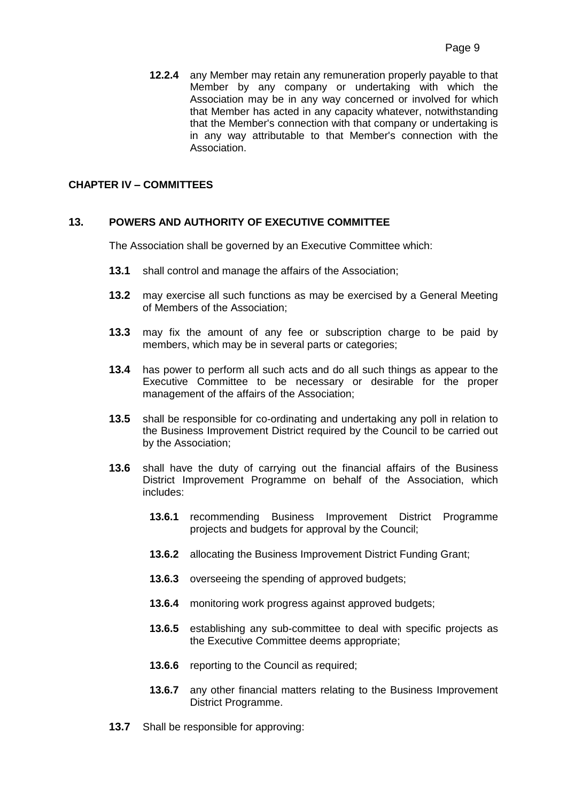**12.2.4** any Member may retain any remuneration properly payable to that Member by any company or undertaking with which the Association may be in any way concerned or involved for which that Member has acted in any capacity whatever, notwithstanding that the Member's connection with that company or undertaking is in any way attributable to that Member's connection with the Association.

## **CHAPTER IV – COMMITTEES**

## <span id="page-11-0"></span>**13. POWERS AND AUTHORITY OF EXECUTIVE COMMITTEE**

The Association shall be governed by an Executive Committee which:

- **13.1** shall control and manage the affairs of the Association;
- **13.2** may exercise all such functions as may be exercised by a General Meeting of Members of the Association;
- **13.3** may fix the amount of any fee or subscription charge to be paid by members, which may be in several parts or categories;
- **13.4** has power to perform all such acts and do all such things as appear to the Executive Committee to be necessary or desirable for the proper management of the affairs of the Association;
- **13.5** shall be responsible for co-ordinating and undertaking any poll in relation to the Business Improvement District required by the Council to be carried out by the Association;
- **13.6** shall have the duty of carrying out the financial affairs of the Business District Improvement Programme on behalf of the Association, which includes:
	- **13.6.1** recommending Business Improvement District Programme projects and budgets for approval by the Council;
	- **13.6.2** allocating the Business Improvement District Funding Grant;
	- **13.6.3** overseeing the spending of approved budgets;
	- **13.6.4** monitoring work progress against approved budgets;
	- **13.6.5** establishing any sub-committee to deal with specific projects as the Executive Committee deems appropriate;
	- **13.6.6** reporting to the Council as required;
	- **13.6.7** any other financial matters relating to the Business Improvement District Programme.
- **13.7** Shall be responsible for approving: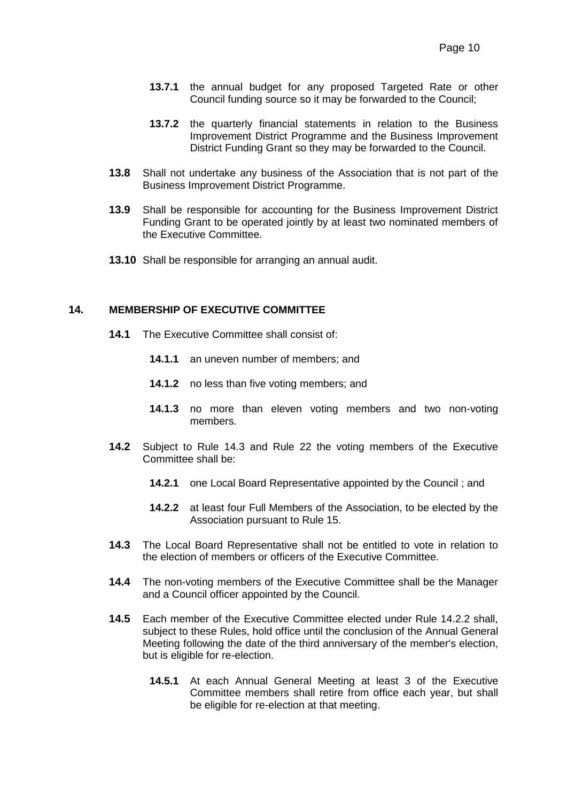- **13.7.1** the annual budget for any proposed Targeted Rate or other Council funding source so it may be forwarded to the Council;
- **13.7.2** the quarterly financial statements in relation to the Business Improvement District Programme and the Business Improvement District Funding Grant so they may be forwarded to the Council.
- **13.8** Shall not undertake any business of the Association that is not part of the Business Improvement District Programme.
- **13.9** Shall be responsible for accounting for the Business Improvement District Funding Grant to be operated jointly by at least two nominated members of the Executive Committee.
- **13.10** Shall be responsible for arranging an annual audit.

#### <span id="page-12-0"></span>**14. MEMBERSHIP OF EXECUTIVE COMMITTEE**

- **14.1** The Executive Committee shall consist of:
	- **14.1.1** an uneven number of members; and
	- **14.1.2** no less than five voting members; and
	- **14.1.3** no more than eleven voting members and two non-voting members.
- **14.2** Subject to Rule 14.3 and Rule 22 the voting members of the Executive Committee shall be:
	- **14.2.1** one Local Board Representative appointed by the Council ; and
	- **14.2.2** at least four Full Members of the Association, to be elected by the Association pursuant to Rule 15.
- **14.3** The Local Board Representative shall not be entitled to vote in relation to the election of members or officers of the Executive Committee.
- **14.4** The non-voting members of the Executive Committee shall be the Manager and a Council officer appointed by the Council.
- **14.5** Each member of the Executive Committee elected under Rule 14.2.2 shall, subject to these Rules, hold office until the conclusion of the Annual General Meeting following the date of the third anniversary of the member's election, but is eligible for re-election.
	- **14.5.1** At each Annual General Meeting at least 3 of the Executive Committee members shall retire from office each year, but shall be eligible for re-election at that meeting.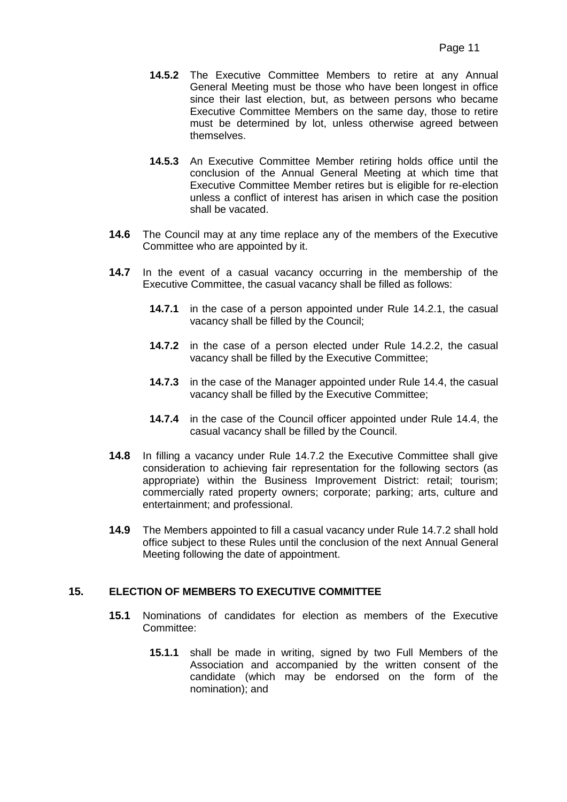- **14.5.2** The Executive Committee Members to retire at any Annual General Meeting must be those who have been longest in office since their last election, but, as between persons who became Executive Committee Members on the same day, those to retire must be determined by lot, unless otherwise agreed between themselves.
- **14.5.3** An Executive Committee Member retiring holds office until the conclusion of the Annual General Meeting at which time that Executive Committee Member retires but is eligible for re-election unless a conflict of interest has arisen in which case the position shall be vacated.
- **14.6** The Council may at any time replace any of the members of the Executive Committee who are appointed by it.
- **14.7** In the event of a casual vacancy occurring in the membership of the Executive Committee, the casual vacancy shall be filled as follows:
	- **14.7.1** in the case of a person appointed under Rule 14.2.1, the casual vacancy shall be filled by the Council;
	- **14.7.2** in the case of a person elected under Rule 14.2.2, the casual vacancy shall be filled by the Executive Committee;
	- **14.7.3** in the case of the Manager appointed under Rule 14.4, the casual vacancy shall be filled by the Executive Committee;
	- **14.7.4** in the case of the Council officer appointed under Rule 14.4, the casual vacancy shall be filled by the Council.
- **14.8** In filling a vacancy under Rule 14.7.2 the Executive Committee shall give consideration to achieving fair representation for the following sectors (as appropriate) within the Business Improvement District: retail; tourism; commercially rated property owners; corporate; parking; arts, culture and entertainment; and professional.
- **14.9** The Members appointed to fill a casual vacancy under Rule 14.7.2 shall hold office subject to these Rules until the conclusion of the next Annual General Meeting following the date of appointment.

## <span id="page-13-0"></span>**15. ELECTION OF MEMBERS TO EXECUTIVE COMMITTEE**

- **15.1** Nominations of candidates for election as members of the Executive Committee:
	- **15.1.1** shall be made in writing, signed by two Full Members of the Association and accompanied by the written consent of the candidate (which may be endorsed on the form of the nomination); and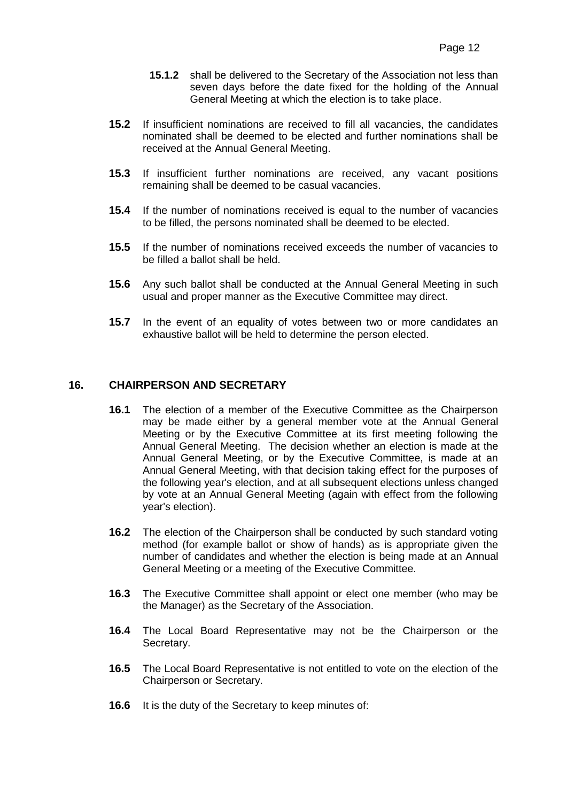- **15.1.2** shall be delivered to the Secretary of the Association not less than seven days before the date fixed for the holding of the Annual General Meeting at which the election is to take place.
- **15.2** If insufficient nominations are received to fill all vacancies, the candidates nominated shall be deemed to be elected and further nominations shall be received at the Annual General Meeting.
- **15.3** If insufficient further nominations are received, any vacant positions remaining shall be deemed to be casual vacancies.
- **15.4** If the number of nominations received is equal to the number of vacancies to be filled, the persons nominated shall be deemed to be elected.
- **15.5** If the number of nominations received exceeds the number of vacancies to be filled a ballot shall be held.
- **15.6** Any such ballot shall be conducted at the Annual General Meeting in such usual and proper manner as the Executive Committee may direct.
- **15.7** In the event of an equality of votes between two or more candidates an exhaustive ballot will be held to determine the person elected.

## <span id="page-14-0"></span>**16. CHAIRPERSON AND SECRETARY**

- **16.1** The election of a member of the Executive Committee as the Chairperson may be made either by a general member vote at the Annual General Meeting or by the Executive Committee at its first meeting following the Annual General Meeting. The decision whether an election is made at the Annual General Meeting, or by the Executive Committee, is made at an Annual General Meeting, with that decision taking effect for the purposes of the following year's election, and at all subsequent elections unless changed by vote at an Annual General Meeting (again with effect from the following year's election).
- **16.2** The election of the Chairperson shall be conducted by such standard voting method (for example ballot or show of hands) as is appropriate given the number of candidates and whether the election is being made at an Annual General Meeting or a meeting of the Executive Committee.
- **16.3** The Executive Committee shall appoint or elect one member (who may be the Manager) as the Secretary of the Association.
- **16.4** The Local Board Representative may not be the Chairperson or the Secretary.
- **16.5** The Local Board Representative is not entitled to vote on the election of the Chairperson or Secretary.
- **16.6** It is the duty of the Secretary to keep minutes of: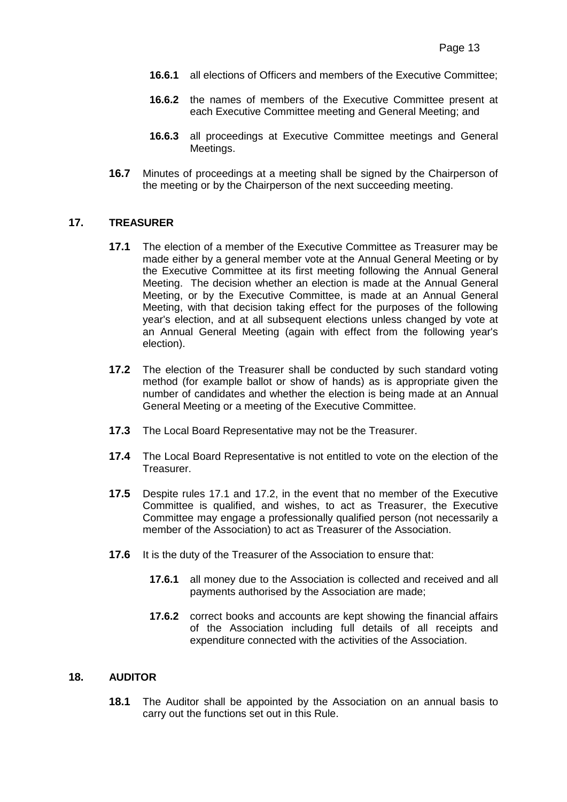- **16.6.1** all elections of Officers and members of the Executive Committee;
- **16.6.2** the names of members of the Executive Committee present at each Executive Committee meeting and General Meeting; and
- **16.6.3** all proceedings at Executive Committee meetings and General Meetings.
- **16.7** Minutes of proceedings at a meeting shall be signed by the Chairperson of the meeting or by the Chairperson of the next succeeding meeting.

## <span id="page-15-0"></span>**17. TREASURER**

- **17.1** The election of a member of the Executive Committee as Treasurer may be made either by a general member vote at the Annual General Meeting or by the Executive Committee at its first meeting following the Annual General Meeting. The decision whether an election is made at the Annual General Meeting, or by the Executive Committee, is made at an Annual General Meeting, with that decision taking effect for the purposes of the following year's election, and at all subsequent elections unless changed by vote at an Annual General Meeting (again with effect from the following year's election).
- **17.2** The election of the Treasurer shall be conducted by such standard voting method (for example ballot or show of hands) as is appropriate given the number of candidates and whether the election is being made at an Annual General Meeting or a meeting of the Executive Committee.
- **17.3** The Local Board Representative may not be the Treasurer.
- **17.4** The Local Board Representative is not entitled to vote on the election of the Treasurer.
- **17.5** Despite rules 17.1 and 17.2, in the event that no member of the Executive Committee is qualified, and wishes, to act as Treasurer, the Executive Committee may engage a professionally qualified person (not necessarily a member of the Association) to act as Treasurer of the Association.
- **17.6** It is the duty of the Treasurer of the Association to ensure that:
	- **17.6.1** all money due to the Association is collected and received and all payments authorised by the Association are made;
	- **17.6.2** correct books and accounts are kept showing the financial affairs of the Association including full details of all receipts and expenditure connected with the activities of the Association.

#### <span id="page-15-1"></span>**18. AUDITOR**

**18.1** The Auditor shall be appointed by the Association on an annual basis to carry out the functions set out in this Rule.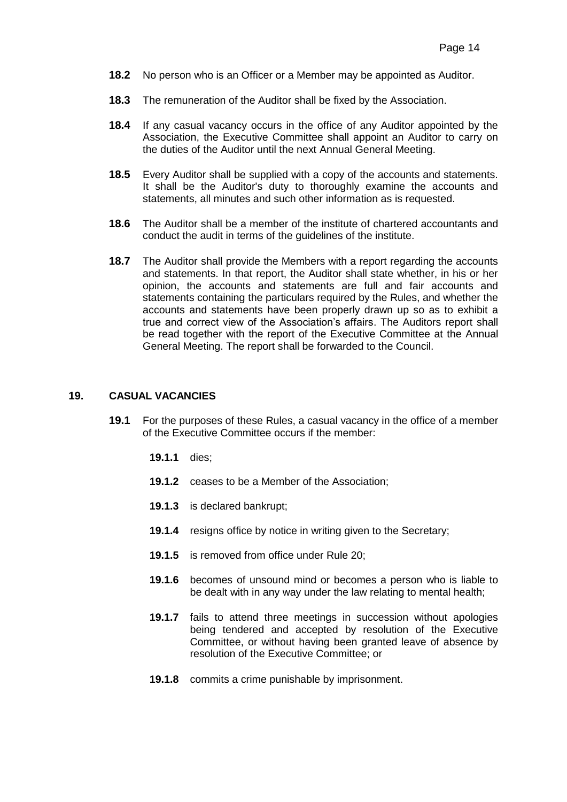- **18.2** No person who is an Officer or a Member may be appointed as Auditor.
- **18.3** The remuneration of the Auditor shall be fixed by the Association.
- **18.4** If any casual vacancy occurs in the office of any Auditor appointed by the Association, the Executive Committee shall appoint an Auditor to carry on the duties of the Auditor until the next Annual General Meeting.
- **18.5** Every Auditor shall be supplied with a copy of the accounts and statements. It shall be the Auditor's duty to thoroughly examine the accounts and statements, all minutes and such other information as is requested.
- **18.6** The Auditor shall be a member of the institute of chartered accountants and conduct the audit in terms of the guidelines of the institute.
- **18.7** The Auditor shall provide the Members with a report regarding the accounts and statements. In that report, the Auditor shall state whether, in his or her opinion, the accounts and statements are full and fair accounts and statements containing the particulars required by the Rules, and whether the accounts and statements have been properly drawn up so as to exhibit a true and correct view of the Association's affairs. The Auditors report shall be read together with the report of the Executive Committee at the Annual General Meeting. The report shall be forwarded to the Council.

#### <span id="page-16-0"></span>**19. CASUAL VACANCIES**

- **19.1** For the purposes of these Rules, a casual vacancy in the office of a member of the Executive Committee occurs if the member:
	- **19.1.1** dies;
	- **19.1.2** ceases to be a Member of the Association;
	- **19.1.3** is declared bankrupt;
	- **19.1.4** resigns office by notice in writing given to the Secretary;
	- **19.1.5** is removed from office under Rule 20;
	- **19.1.6** becomes of unsound mind or becomes a person who is liable to be dealt with in any way under the law relating to mental health;
	- **19.1.7** fails to attend three meetings in succession without apologies being tendered and accepted by resolution of the Executive Committee, or without having been granted leave of absence by resolution of the Executive Committee; or
	- **19.1.8** commits a crime punishable by imprisonment.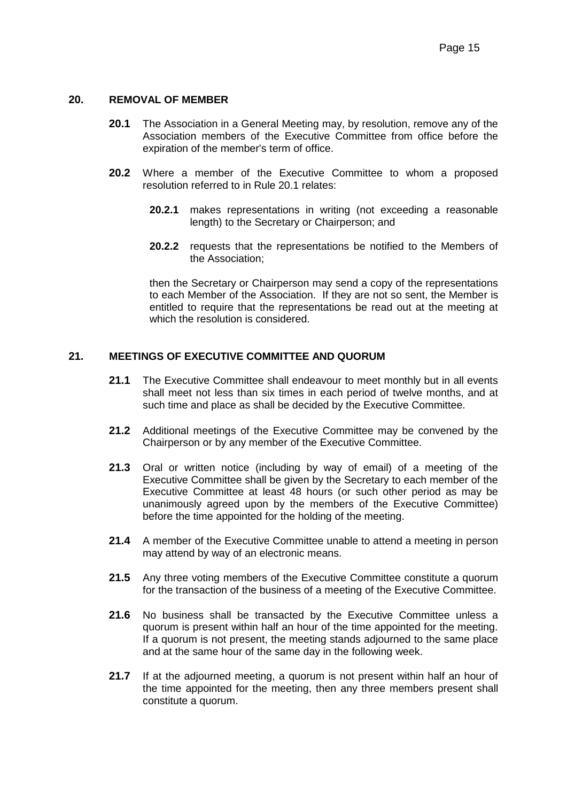### <span id="page-17-0"></span>**20. REMOVAL OF MEMBER**

- **20.1** The Association in a General Meeting may, by resolution, remove any of the Association members of the Executive Committee from office before the expiration of the member's term of office.
- **20.2** Where a member of the Executive Committee to whom a proposed resolution referred to in Rule 20.1 relates:
	- **20.2.1** makes representations in writing (not exceeding a reasonable length) to the Secretary or Chairperson; and
	- **20.2.2** requests that the representations be notified to the Members of the Association;

then the Secretary or Chairperson may send a copy of the representations to each Member of the Association. If they are not so sent, the Member is entitled to require that the representations be read out at the meeting at which the resolution is considered.

### <span id="page-17-1"></span>**21. MEETINGS OF EXECUTIVE COMMITTEE AND QUORUM**

- **21.1** The Executive Committee shall endeavour to meet monthly but in all events shall meet not less than six times in each period of twelve months, and at such time and place as shall be decided by the Executive Committee.
- **21.2** Additional meetings of the Executive Committee may be convened by the Chairperson or by any member of the Executive Committee.
- **21.3** Oral or written notice (including by way of email) of a meeting of the Executive Committee shall be given by the Secretary to each member of the Executive Committee at least 48 hours (or such other period as may be unanimously agreed upon by the members of the Executive Committee) before the time appointed for the holding of the meeting.
- **21.4** A member of the Executive Committee unable to attend a meeting in person may attend by way of an electronic means.
- **21.5** Any three voting members of the Executive Committee constitute a quorum for the transaction of the business of a meeting of the Executive Committee.
- **21.6** No business shall be transacted by the Executive Committee unless a quorum is present within half an hour of the time appointed for the meeting. If a quorum is not present, the meeting stands adjourned to the same place and at the same hour of the same day in the following week.
- **21.7** If at the adjourned meeting, a quorum is not present within half an hour of the time appointed for the meeting, then any three members present shall constitute a quorum.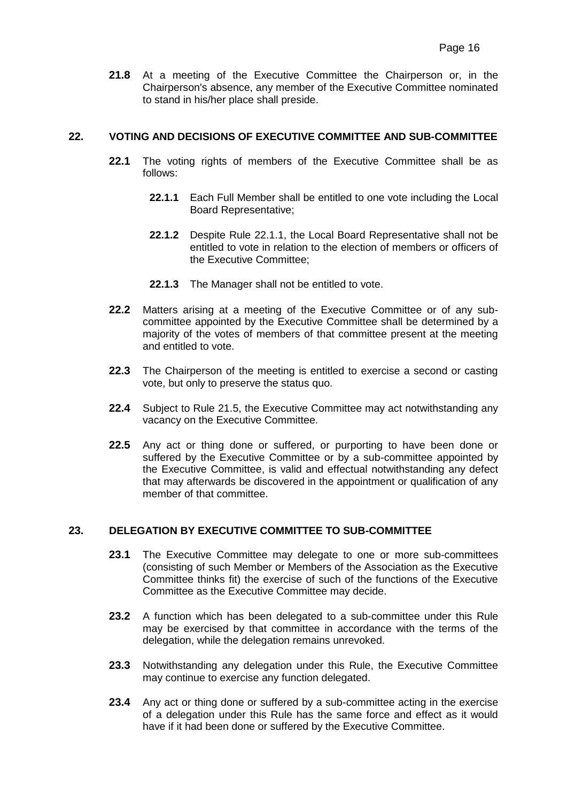**21.8** At a meeting of the Executive Committee the Chairperson or, in the Chairperson's absence, any member of the Executive Committee nominated to stand in his/her place shall preside.

## <span id="page-18-0"></span>**22. VOTING AND DECISIONS OF EXECUTIVE COMMITTEE AND SUB-COMMITTEE**

- **22.1** The voting rights of members of the Executive Committee shall be as follows:
	- **22.1.1** Each Full Member shall be entitled to one vote including the Local Board Representative;
	- **22.1.2** Despite Rule 22.1.1, the Local Board Representative shall not be entitled to vote in relation to the election of members or officers of the Executive Committee;
	- **22.1.3** The Manager shall not be entitled to vote.
- **22.2** Matters arising at a meeting of the Executive Committee or of any subcommittee appointed by the Executive Committee shall be determined by a majority of the votes of members of that committee present at the meeting and entitled to vote.
- **22.3** The Chairperson of the meeting is entitled to exercise a second or casting vote, but only to preserve the status quo.
- **22.4** Subject to Rule 21.5, the Executive Committee may act notwithstanding any vacancy on the Executive Committee.
- **22.5** Any act or thing done or suffered, or purporting to have been done or suffered by the Executive Committee or by a sub-committee appointed by the Executive Committee, is valid and effectual notwithstanding any defect that may afterwards be discovered in the appointment or qualification of any member of that committee.

## <span id="page-18-1"></span>**23. DELEGATION BY EXECUTIVE COMMITTEE TO SUB-COMMITTEE**

- **23.1** The Executive Committee may delegate to one or more sub-committees (consisting of such Member or Members of the Association as the Executive Committee thinks fit) the exercise of such of the functions of the Executive Committee as the Executive Committee may decide.
- **23.2** A function which has been delegated to a sub-committee under this Rule may be exercised by that committee in accordance with the terms of the delegation, while the delegation remains unrevoked.
- **23.3** Notwithstanding any delegation under this Rule, the Executive Committee may continue to exercise any function delegated.
- **23.4** Any act or thing done or suffered by a sub-committee acting in the exercise of a delegation under this Rule has the same force and effect as it would have if it had been done or suffered by the Executive Committee.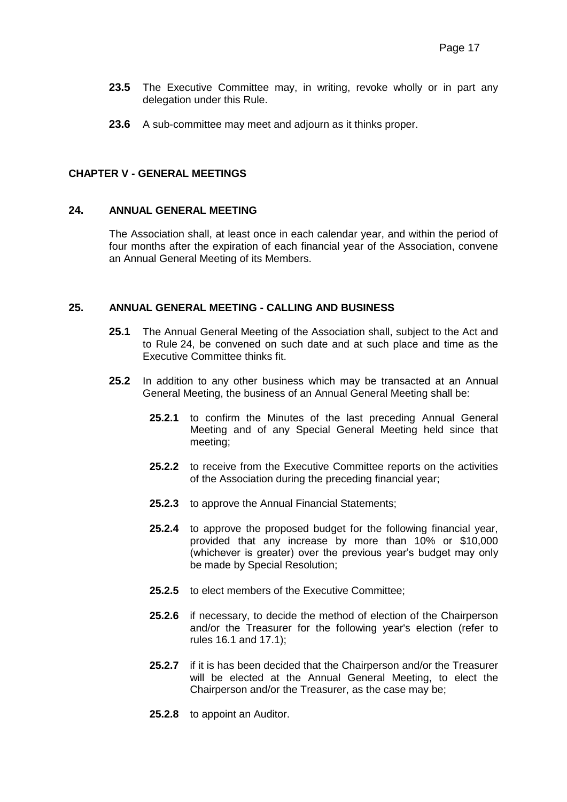- **23.5** The Executive Committee may, in writing, revoke wholly or in part any delegation under this Rule.
- **23.6** A sub-committee may meet and adjourn as it thinks proper.

## **CHAPTER V - GENERAL MEETINGS**

#### <span id="page-19-0"></span>**24. ANNUAL GENERAL MEETING**

The Association shall, at least once in each calendar year, and within the period of four months after the expiration of each financial year of the Association, convene an Annual General Meeting of its Members.

### <span id="page-19-1"></span>**25. ANNUAL GENERAL MEETING - CALLING AND BUSINESS**

- **25.1** The Annual General Meeting of the Association shall, subject to the Act and to Rule 24, be convened on such date and at such place and time as the Executive Committee thinks fit.
- **25.2** In addition to any other business which may be transacted at an Annual General Meeting, the business of an Annual General Meeting shall be:
	- **25.2.1** to confirm the Minutes of the last preceding Annual General Meeting and of any Special General Meeting held since that meeting;
	- **25.2.2** to receive from the Executive Committee reports on the activities of the Association during the preceding financial year;
	- **25.2.3** to approve the Annual Financial Statements;
	- **25.2.4** to approve the proposed budget for the following financial year, provided that any increase by more than 10% or \$10,000 (whichever is greater) over the previous year's budget may only be made by Special Resolution;
	- **25.2.5** to elect members of the Executive Committee;
	- **25.2.6** if necessary, to decide the method of election of the Chairperson and/or the Treasurer for the following year's election (refer to rules 16.1 and 17.1);
	- **25.2.7** if it is has been decided that the Chairperson and/or the Treasurer will be elected at the Annual General Meeting, to elect the Chairperson and/or the Treasurer, as the case may be;
	- **25.2.8** to appoint an Auditor.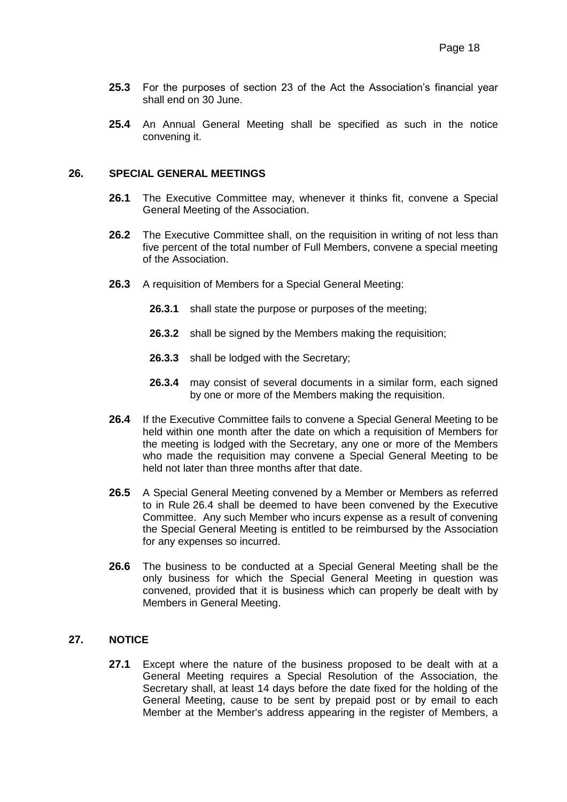- **25.3** For the purposes of section 23 of the Act the Association's financial year shall end on 30 June.
- **25.4** An Annual General Meeting shall be specified as such in the notice convening it.

## <span id="page-20-0"></span>**26. SPECIAL GENERAL MEETINGS**

- **26.1** The Executive Committee may, whenever it thinks fit, convene a Special General Meeting of the Association.
- **26.2** The Executive Committee shall, on the requisition in writing of not less than five percent of the total number of Full Members, convene a special meeting of the Association.
- **26.3** A requisition of Members for a Special General Meeting:
	- **26.3.1** shall state the purpose or purposes of the meeting;
	- **26.3.2** shall be signed by the Members making the requisition;
	- **26.3.3** shall be lodged with the Secretary;
	- **26.3.4** may consist of several documents in a similar form, each signed by one or more of the Members making the requisition.
- **26.4** If the Executive Committee fails to convene a Special General Meeting to be held within one month after the date on which a requisition of Members for the meeting is lodged with the Secretary, any one or more of the Members who made the requisition may convene a Special General Meeting to be held not later than three months after that date.
- **26.5** A Special General Meeting convened by a Member or Members as referred to in Rule 26.4 shall be deemed to have been convened by the Executive Committee. Any such Member who incurs expense as a result of convening the Special General Meeting is entitled to be reimbursed by the Association for any expenses so incurred.
- **26.6** The business to be conducted at a Special General Meeting shall be the only business for which the Special General Meeting in question was convened, provided that it is business which can properly be dealt with by Members in General Meeting.

## <span id="page-20-1"></span>**27. NOTICE**

**27.1** Except where the nature of the business proposed to be dealt with at a General Meeting requires a Special Resolution of the Association, the Secretary shall, at least 14 days before the date fixed for the holding of the General Meeting, cause to be sent by prepaid post or by email to each Member at the Member's address appearing in the register of Members, a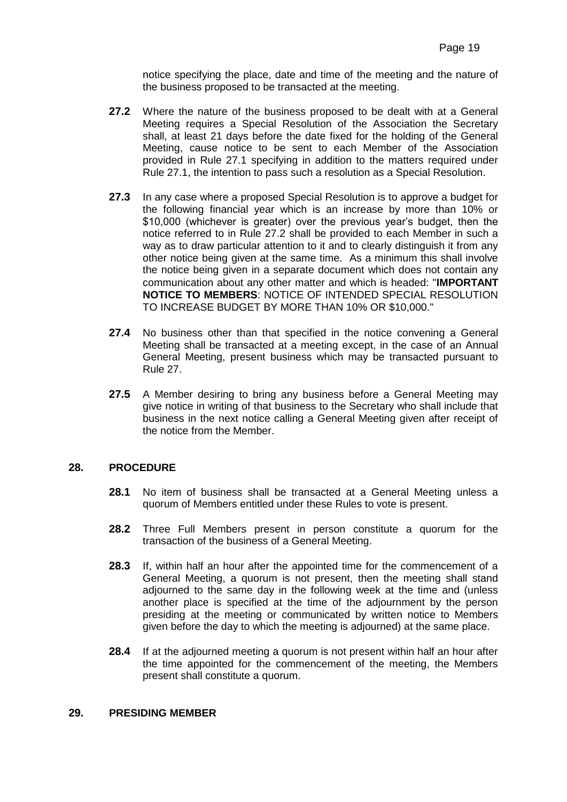notice specifying the place, date and time of the meeting and the nature of the business proposed to be transacted at the meeting.

- **27.2** Where the nature of the business proposed to be dealt with at a General Meeting requires a Special Resolution of the Association the Secretary shall, at least 21 days before the date fixed for the holding of the General Meeting, cause notice to be sent to each Member of the Association provided in Rule 27.1 specifying in addition to the matters required under Rule 27.1, the intention to pass such a resolution as a Special Resolution.
- **27.3** In any case where a proposed Special Resolution is to approve a budget for the following financial year which is an increase by more than 10% or \$10,000 (whichever is greater) over the previous year's budget, then the notice referred to in Rule 27.2 shall be provided to each Member in such a way as to draw particular attention to it and to clearly distinguish it from any other notice being given at the same time. As a minimum this shall involve the notice being given in a separate document which does not contain any communication about any other matter and which is headed: "**IMPORTANT NOTICE TO MEMBERS**: NOTICE OF INTENDED SPECIAL RESOLUTION TO INCREASE BUDGET BY MORE THAN 10% OR \$10,000."
- **27.4** No business other than that specified in the notice convening a General Meeting shall be transacted at a meeting except, in the case of an Annual General Meeting, present business which may be transacted pursuant to Rule 27.
- **27.5** A Member desiring to bring any business before a General Meeting may give notice in writing of that business to the Secretary who shall include that business in the next notice calling a General Meeting given after receipt of the notice from the Member.

#### <span id="page-21-0"></span>**28. PROCEDURE**

- **28.1** No item of business shall be transacted at a General Meeting unless a quorum of Members entitled under these Rules to vote is present.
- **28.2** Three Full Members present in person constitute a quorum for the transaction of the business of a General Meeting.
- **28.3** If, within half an hour after the appointed time for the commencement of a General Meeting, a quorum is not present, then the meeting shall stand adjourned to the same day in the following week at the time and (unless another place is specified at the time of the adjournment by the person presiding at the meeting or communicated by written notice to Members given before the day to which the meeting is adjourned) at the same place.
- **28.4** If at the adjourned meeting a quorum is not present within half an hour after the time appointed for the commencement of the meeting, the Members present shall constitute a quorum.

#### <span id="page-21-1"></span>**29. PRESIDING MEMBER**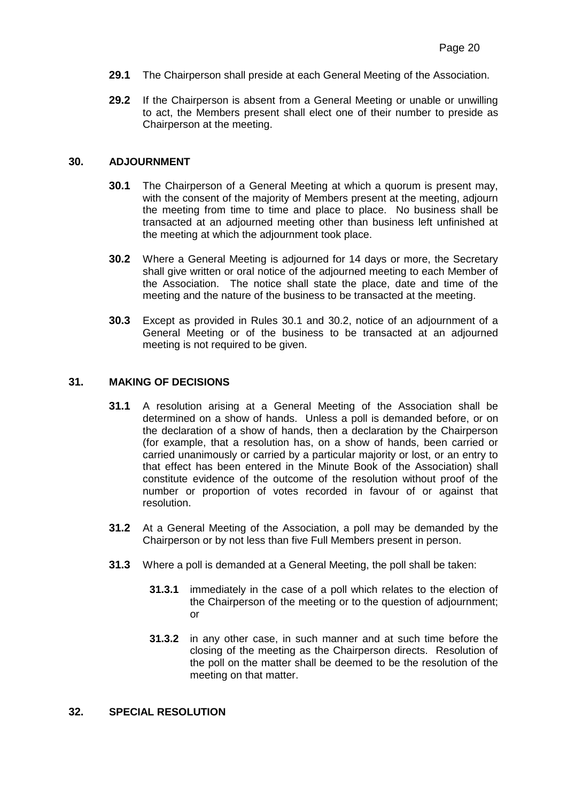- **29.1** The Chairperson shall preside at each General Meeting of the Association.
- **29.2** If the Chairperson is absent from a General Meeting or unable or unwilling to act, the Members present shall elect one of their number to preside as Chairperson at the meeting.

#### <span id="page-22-0"></span>**30. ADJOURNMENT**

- **30.1** The Chairperson of a General Meeting at which a quorum is present may, with the consent of the majority of Members present at the meeting, adjourn the meeting from time to time and place to place. No business shall be transacted at an adjourned meeting other than business left unfinished at the meeting at which the adjournment took place.
- **30.2** Where a General Meeting is adjourned for 14 days or more, the Secretary shall give written or oral notice of the adjourned meeting to each Member of the Association. The notice shall state the place, date and time of the meeting and the nature of the business to be transacted at the meeting.
- **30.3** Except as provided in Rules 30.1 and 30.2, notice of an adjournment of a General Meeting or of the business to be transacted at an adjourned meeting is not required to be given.

## <span id="page-22-1"></span>**31. MAKING OF DECISIONS**

- **31.1** A resolution arising at a General Meeting of the Association shall be determined on a show of hands. Unless a poll is demanded before, or on the declaration of a show of hands, then a declaration by the Chairperson (for example, that a resolution has, on a show of hands, been carried or carried unanimously or carried by a particular majority or lost, or an entry to that effect has been entered in the Minute Book of the Association) shall constitute evidence of the outcome of the resolution without proof of the number or proportion of votes recorded in favour of or against that resolution.
- **31.2** At a General Meeting of the Association, a poll may be demanded by the Chairperson or by not less than five Full Members present in person.
- **31.3** Where a poll is demanded at a General Meeting, the poll shall be taken:
	- **31.3.1** immediately in the case of a poll which relates to the election of the Chairperson of the meeting or to the question of adjournment; or
	- **31.3.2** in any other case, in such manner and at such time before the closing of the meeting as the Chairperson directs. Resolution of the poll on the matter shall be deemed to be the resolution of the meeting on that matter.

#### <span id="page-22-2"></span>**32. SPECIAL RESOLUTION**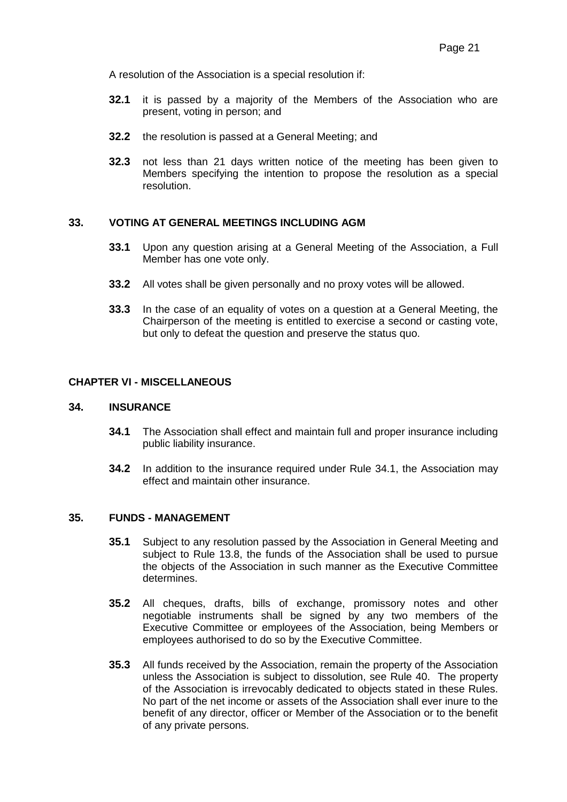A resolution of the Association is a special resolution if:

- **32.1** it is passed by a majority of the Members of the Association who are present, voting in person; and
- **32.2** the resolution is passed at a General Meeting; and
- **32.3** not less than 21 days written notice of the meeting has been given to Members specifying the intention to propose the resolution as a special resolution.

## <span id="page-23-0"></span>**33. VOTING AT GENERAL MEETINGS INCLUDING AGM**

- **33.1** Upon any question arising at a General Meeting of the Association, a Full Member has one vote only.
- **33.2** All votes shall be given personally and no proxy votes will be allowed.
- **33.3** In the case of an equality of votes on a question at a General Meeting, the Chairperson of the meeting is entitled to exercise a second or casting vote, but only to defeat the question and preserve the status quo.

#### **CHAPTER VI - MISCELLANEOUS**

#### <span id="page-23-1"></span>**34. INSURANCE**

- **34.1** The Association shall effect and maintain full and proper insurance including public liability insurance.
- **34.2** In addition to the insurance required under Rule 34.1, the Association may effect and maintain other insurance.

## <span id="page-23-2"></span>**35. FUNDS - MANAGEMENT**

- **35.1** Subject to any resolution passed by the Association in General Meeting and subject to Rule 13.8, the funds of the Association shall be used to pursue the objects of the Association in such manner as the Executive Committee determines.
- **35.2** All cheques, drafts, bills of exchange, promissory notes and other negotiable instruments shall be signed by any two members of the Executive Committee or employees of the Association, being Members or employees authorised to do so by the Executive Committee.
- **35.3** All funds received by the Association, remain the property of the Association unless the Association is subject to dissolution, see Rule 40. The property of the Association is irrevocably dedicated to objects stated in these Rules. No part of the net income or assets of the Association shall ever inure to the benefit of any director, officer or Member of the Association or to the benefit of any private persons.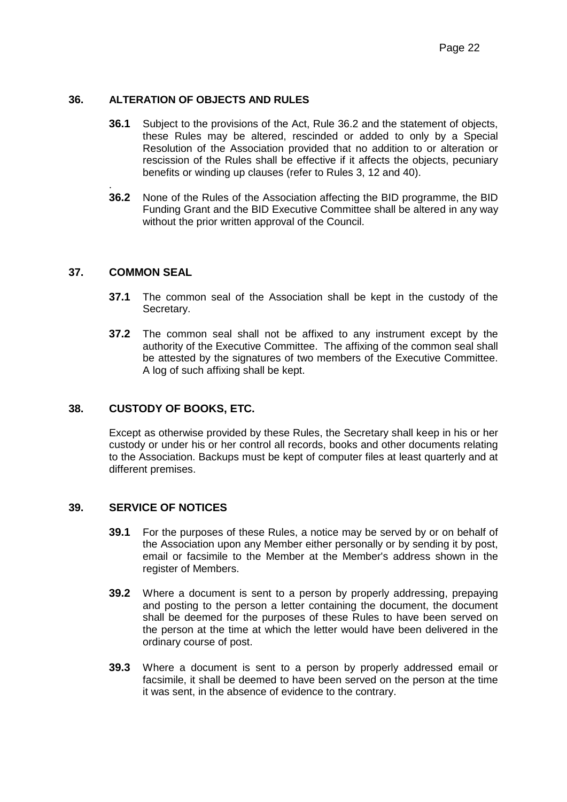## <span id="page-24-0"></span>**36. ALTERATION OF OBJECTS AND RULES**

- **36.1** Subject to the provisions of the Act, Rule 36.2 and the statement of objects, these Rules may be altered, rescinded or added to only by a Special Resolution of the Association provided that no addition to or alteration or rescission of the Rules shall be effective if it affects the objects, pecuniary benefits or winding up clauses (refer to Rules 3, 12 and 40).
- **36.2** None of the Rules of the Association affecting the BID programme, the BID Funding Grant and the BID Executive Committee shall be altered in any way without the prior written approval of the Council.

## <span id="page-24-1"></span>**37. COMMON SEAL**

.

- **37.1** The common seal of the Association shall be kept in the custody of the Secretary.
- **37.2** The common seal shall not be affixed to any instrument except by the authority of the Executive Committee. The affixing of the common seal shall be attested by the signatures of two members of the Executive Committee. A log of such affixing shall be kept.

## <span id="page-24-2"></span>**38. CUSTODY OF BOOKS, ETC.**

Except as otherwise provided by these Rules, the Secretary shall keep in his or her custody or under his or her control all records, books and other documents relating to the Association. Backups must be kept of computer files at least quarterly and at different premises.

## <span id="page-24-3"></span>**39. SERVICE OF NOTICES**

- **39.1** For the purposes of these Rules, a notice may be served by or on behalf of the Association upon any Member either personally or by sending it by post, email or facsimile to the Member at the Member's address shown in the register of Members.
- **39.2** Where a document is sent to a person by properly addressing, prepaying and posting to the person a letter containing the document, the document shall be deemed for the purposes of these Rules to have been served on the person at the time at which the letter would have been delivered in the ordinary course of post.
- **39.3** Where a document is sent to a person by properly addressed email or facsimile, it shall be deemed to have been served on the person at the time it was sent, in the absence of evidence to the contrary.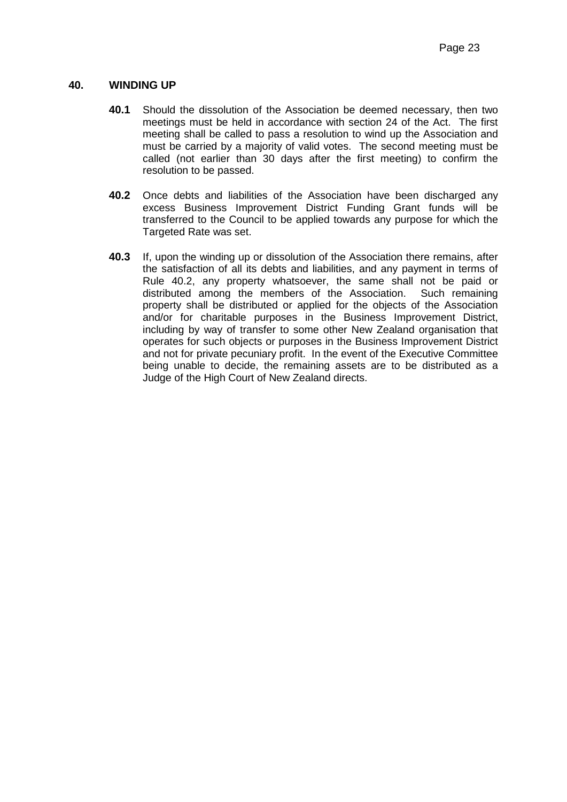## <span id="page-25-0"></span>**40. WINDING UP**

- **40.1** Should the dissolution of the Association be deemed necessary, then two meetings must be held in accordance with section 24 of the Act. The first meeting shall be called to pass a resolution to wind up the Association and must be carried by a majority of valid votes. The second meeting must be called (not earlier than 30 days after the first meeting) to confirm the resolution to be passed.
- **40.2** Once debts and liabilities of the Association have been discharged any excess Business Improvement District Funding Grant funds will be transferred to the Council to be applied towards any purpose for which the Targeted Rate was set.
- **40.3** If, upon the winding up or dissolution of the Association there remains, after the satisfaction of all its debts and liabilities, and any payment in terms of Rule 40.2, any property whatsoever, the same shall not be paid or distributed among the members of the Association. Such remaining property shall be distributed or applied for the objects of the Association and/or for charitable purposes in the Business Improvement District, including by way of transfer to some other New Zealand organisation that operates for such objects or purposes in the Business Improvement District and not for private pecuniary profit. In the event of the Executive Committee being unable to decide, the remaining assets are to be distributed as a Judge of the High Court of New Zealand directs.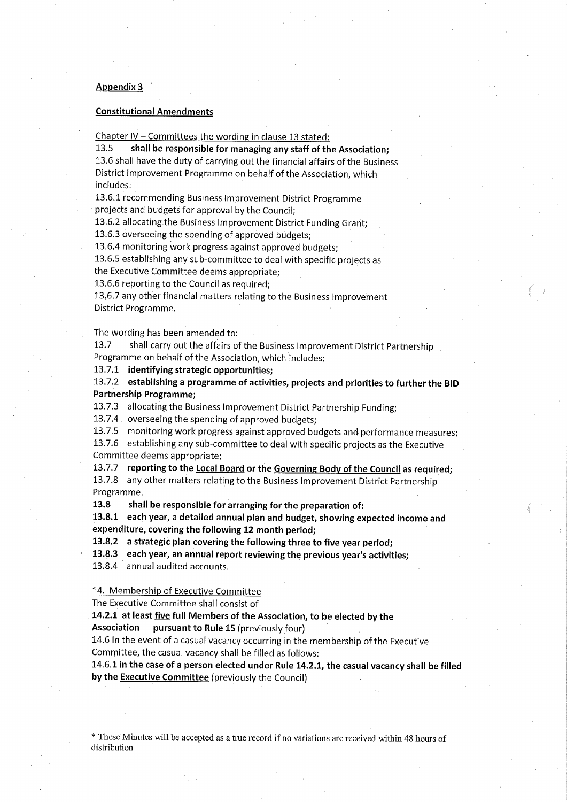#### **Appendix 3**

#### **Constitutional Amendments**

Chapter IV - Committees the wording in clause 13 stated:

13.5 shall be responsible for managing any staff of the Association; 13.6 shall have the duty of carrying out the financial affairs of the Business District Improvement Programme on behalf of the Association, which includes:

13.6.1 recommending Business Improvement District Programme projects and budgets for approval by the Council;

13.6.2 allocating the Business Improvement District Funding Grant;

13.6.3 overseeing the spending of approved budgets;

13.6.4 monitoring work progress against approved budgets;

13.6.5 establishing any sub-committee to deal with specific projects as the Executive Committee deems appropriate;

13.6.6 reporting to the Council as required;

13.6.7 any other financial matters relating to the Business Improvement District Programme.

The wording has been amended to:

13.7 shall carry out the affairs of the Business Improvement District Partnership Programme on behalf of the Association, which includes:

13.7.1 identifying strategic opportunities;

13.7.2 establishing a programme of activities, projects and priorities to further the BID **Partnership Programme;** 

13.7.3 allocating the Business Improvement District Partnership Funding;

13.7.4 overseeing the spending of approved budgets;

13.7.5 monitoring work progress against approved budgets and performance measures;

13.7.6 establishing any sub-committee to deal with specific projects as the Executive Committee deems appropriate;

13.7.7 reporting to the Local Board or the Governing Body of the Council as required;

13.7.8 any other matters relating to the Business Improvement District Partnership Programme.

13.8 shall be responsible for arranging for the preparation of:

13.8.1 each year, a detailed annual plan and budget, showing expected income and expenditure, covering the following 12 month period;

13.8.2 a strategic plan covering the following three to five year period;

13.8.3 each year, an annual report reviewing the previous year's activities;

13.8.4 annual audited accounts.

14. Membership of Executive Committee

The Executive Committee shall consist of

14.2.1 at least five full Members of the Association, to be elected by the

Association pursuant to Rule 15 (previously four)

14.6 In the event of a casual vacancy occurring in the membership of the Executive Committee, the casual vacancy shall be filled as follows:

14.6.1 in the case of a person elected under Rule 14.2.1, the casual vacancy shall be filled by the **Executive Committee** (previously the Council)

\* These Minutes will be accepted as a true record if no variations are received within 48 hours of distribution